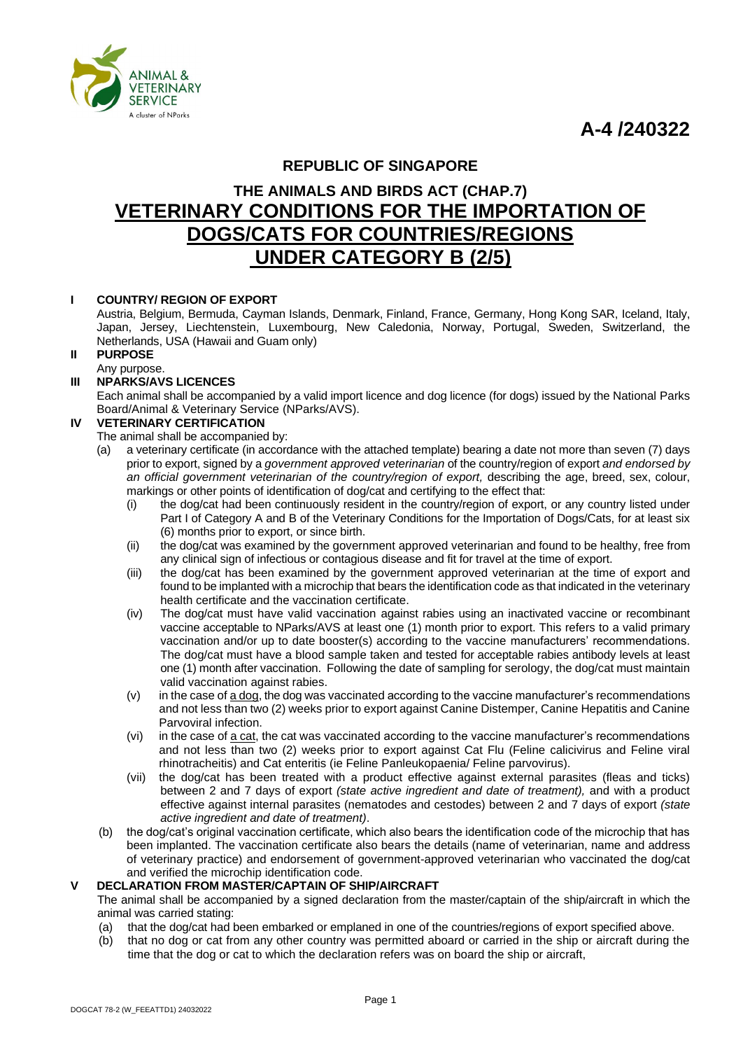**A-4 /240322**



# **REPUBLIC OF SINGAPORE**

# **THE ANIMALS AND BIRDS ACT (CHAP.7) VETERINARY CONDITIONS FOR THE IMPORTATION OF DOGS/CATS FOR COUNTRIES/REGIONS UNDER CATEGORY B (2/5)**

# **I COUNTRY/ REGION OF EXPORT**

Austria, Belgium, Bermuda, Cayman Islands, Denmark, Finland, France, Germany, Hong Kong SAR, Iceland, Italy, Japan, Jersey, Liechtenstein, Luxembourg, New Caledonia, Norway, Portugal, Sweden, Switzerland, the Netherlands, USA (Hawaii and Guam only)

# **II PURPOSE**

# Any purpose.

# **III NPARKS/AVS LICENCES**

Each animal shall be accompanied by a valid import licence and dog licence (for dogs) issued by the National Parks Board/Animal & Veterinary Service (NParks/AVS).

# **IV VETERINARY CERTIFICATION**

#### The animal shall be accompanied by:

- (a) a veterinary certificate (in accordance with the attached template) bearing a date not more than seven (7) days prior to export, signed by a *government approved veterinarian* of the country/region of export *and endorsed by*  an official government veterinarian of the country/region of export, describing the age, breed, sex, colour, markings or other points of identification of dog/cat and certifying to the effect that:
	- (i) the dog/cat had been continuously resident in the country/region of export, or any country listed under Part I of Category A and B of the Veterinary Conditions for the Importation of Dogs/Cats, for at least six (6) months prior to export, or since birth.
	- (ii) the dog/cat was examined by the government approved veterinarian and found to be healthy, free from any clinical sign of infectious or contagious disease and fit for travel at the time of export.
	- (iii) the dog/cat has been examined by the government approved veterinarian at the time of export and found to be implanted with a microchip that bears the identification code as that indicated in the veterinary health certificate and the vaccination certificate.
	- (iv) The dog/cat must have valid vaccination against rabies using an inactivated vaccine or recombinant vaccine acceptable to NParks/AVS at least one (1) month prior to export. This refers to a valid primary vaccination and/or up to date booster(s) according to the vaccine manufacturers' recommendations. The dog/cat must have a blood sample taken and tested for acceptable rabies antibody levels at least one (1) month after vaccination. Following the date of sampling for serology, the dog/cat must maintain valid vaccination against rabies.
	- $(v)$  in the case of  $\frac{1}{2}$  dog, the dog was vaccinated according to the vaccine manufacturer's recommendations and not less than two (2) weeks prior to export against Canine Distemper, Canine Hepatitis and Canine Parvoviral infection.
	- (vi) in the case of  $a$  cat, the cat was vaccinated according to the vaccine manufacturer's recommendations and not less than two (2) weeks prior to export against Cat Flu (Feline calicivirus and Feline viral rhinotracheitis) and Cat enteritis (ie Feline Panleukopaenia/ Feline parvovirus).
	- (vii) the dog/cat has been treated with a product effective against external parasites (fleas and ticks) between 2 and 7 days of export *(state active ingredient and date of treatment),* and with a product effective against internal parasites (nematodes and cestodes) between 2 and 7 days of export *(state active ingredient and date of treatment)*.
- (b) the dog/cat's original vaccination certificate, which also bears the identification code of the microchip that has been implanted. The vaccination certificate also bears the details (name of veterinarian, name and address of veterinary practice) and endorsement of government-approved veterinarian who vaccinated the dog/cat and verified the microchip identification code.

# **V DECLARATION FROM MASTER/CAPTAIN OF SHIP/AIRCRAFT**

The animal shall be accompanied by a signed declaration from the master/captain of the ship/aircraft in which the animal was carried stating:

- (a) that the dog/cat had been embarked or emplaned in one of the countries/regions of export specified above.
- (b) that no dog or cat from any other country was permitted aboard or carried in the ship or aircraft during the time that the dog or cat to which the declaration refers was on board the ship or aircraft,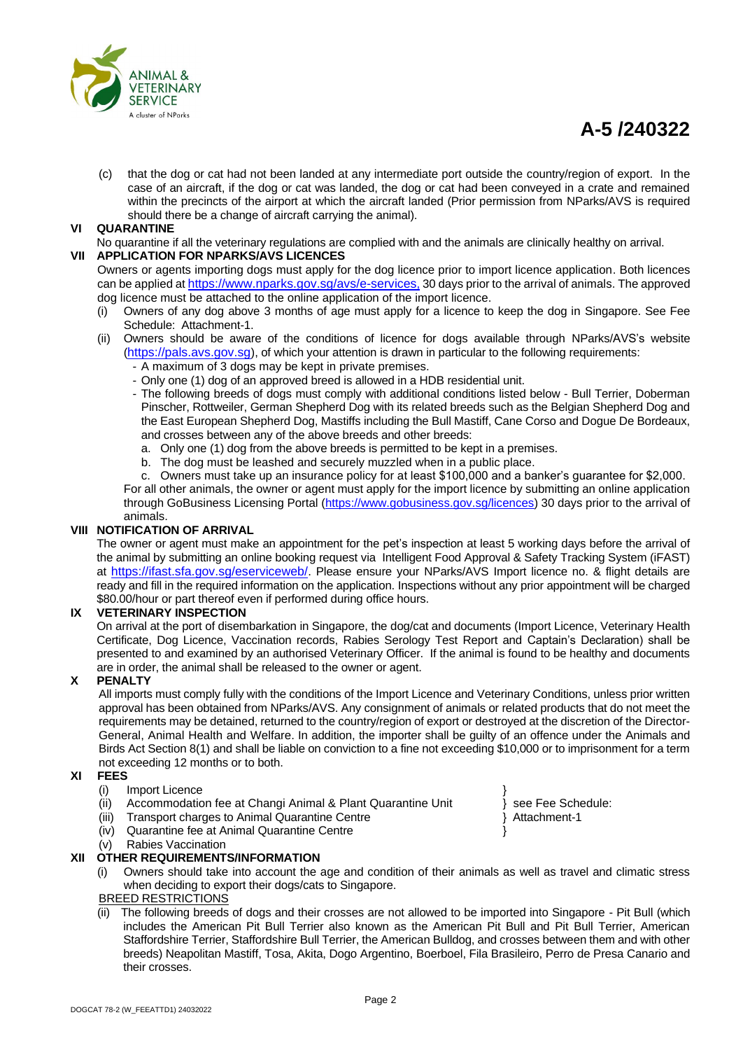

# **A-5 /240322**

(c) that the dog or cat had not been landed at any intermediate port outside the country/region of export. In the case of an aircraft, if the dog or cat was landed, the dog or cat had been conveyed in a crate and remained within the precincts of the airport at which the aircraft landed (Prior permission from NParks/AVS is required should there be a change of aircraft carrying the animal).

# **VI QUARANTINE**

No quarantine if all the veterinary regulations are complied with and the animals are clinically healthy on arrival.

# **VII APPLICATION FOR NPARKS/AVS LICENCES**

Owners or agents importing dogs must apply for the dog licence prior to import licence application. Both licences can be applied at <https://www.nparks.gov.sg/avs/e-services>, 30 days prior to the arrival of animals. The approved dog licence must be attached to the online application of the import licence.

- (i) Owners of any dog above 3 months of age must apply for a licence to keep the dog in Singapore. See Fee Schedule: Attachment-1.
- (ii) Owners should be aware of the conditions of licence for dogs available through NParks/AVS's website ([https://pals.avs.gov.sg](https://pals.avs.gov.sg/)), of which your attention is drawn in particular to the following requirements:
	- A maximum of 3 dogs may be kept in private premises.
	- Only one (1) dog of an approved breed is allowed in a HDB residential unit.
	- The following breeds of dogs must comply with additional conditions listed below Bull Terrier, Doberman Pinscher, Rottweiler, German Shepherd Dog with its related breeds such as the Belgian Shepherd Dog and the East European Shepherd Dog, Mastiffs including the Bull Mastiff, Cane Corso and Dogue De Bordeaux, and crosses between any of the above breeds and other breeds:
		- a. Only one (1) dog from the above breeds is permitted to be kept in a premises.
		- b. The dog must be leashed and securely muzzled when in a public place.
	- c. Owners must take up an insurance policy for at least \$100,000 and a banker's guarantee for \$2,000.

For all other animals, the owner or agent must apply for the import licence by submitting an online application through GoBusiness Licensing Portal [\(https://www.gobusiness.gov.sg/licences\)](https://www.gobusiness.gov.sg/licences) 30 days prior to the arrival of animals.

# **VIII NOTIFICATION OF ARRIVAL**

The owner or agent must make an appointment for the pet's inspection at least 5 working days before the arrival of the animal by submitting an online booking request via Intelligent Food Approval & Safety Tracking System (iFAST) at <https://ifast.sfa.gov.sg/eserviceweb/>. Please ensure your NParks/AVS Import licence no. & flight details are ready and fill in the required information on the application. Inspections without any prior appointment will be charged \$80.00/hour or part thereof even if performed during office hours.

# **IX VETERINARY INSPECTION**

On arrival at the port of disembarkation in Singapore, the dog/cat and documents (Import Licence, Veterinary Health Certificate, Dog Licence, Vaccination records, Rabies Serology Test Report and Captain's Declaration) shall be presented to and examined by an authorised Veterinary Officer. If the animal is found to be healthy and documents are in order, the animal shall be released to the owner or agent.

# **X PENALTY**

All imports must comply fully with the conditions of the Import Licence and Veterinary Conditions, unless prior written approval has been obtained from NParks/AVS. Any consignment of animals or related products that do not meet the requirements may be detained, returned to the country/region of export or destroyed at the discretion of the Director-General, Animal Health and Welfare. In addition, the importer shall be guilty of an offence under the Animals and Birds Act Section 8(1) and shall be liable on conviction to a fine not exceeding \$10,000 or to imprisonment for a term not exceeding 12 months or to both.

# **XI FEES**

- (i) Import Licence
- (ii) Accommodation fee at Changi Animal & Plant Quarantine Unit } see Fee Schedule:<br>(iii) Transport charges to Animal Quarantine Centre } Attachment-1
- (iii) Transport charges to Animal Quarantine Centre
- (iv) Quarantine fee at Animal Quarantine Centre }
- (v) Rabies Vaccination

# **XII OTHER REQUIREMENTS/INFORMATION**

(i) Owners should take into account the age and condition of their animals as well as travel and climatic stress when deciding to export their dogs/cats to Singapore.

# BREED RESTRICTIONS

(ii) The following breeds of dogs and their crosses are not allowed to be imported into Singapore - Pit Bull (which includes the American Pit Bull Terrier also known as the American Pit Bull and Pit Bull Terrier, American Staffordshire Terrier, Staffordshire Bull Terrier, the American Bulldog, and crosses between them and with other breeds) Neapolitan Mastiff, Tosa, Akita, Dogo Argentino, Boerboel, Fila Brasileiro, Perro de Presa Canario and their crosses.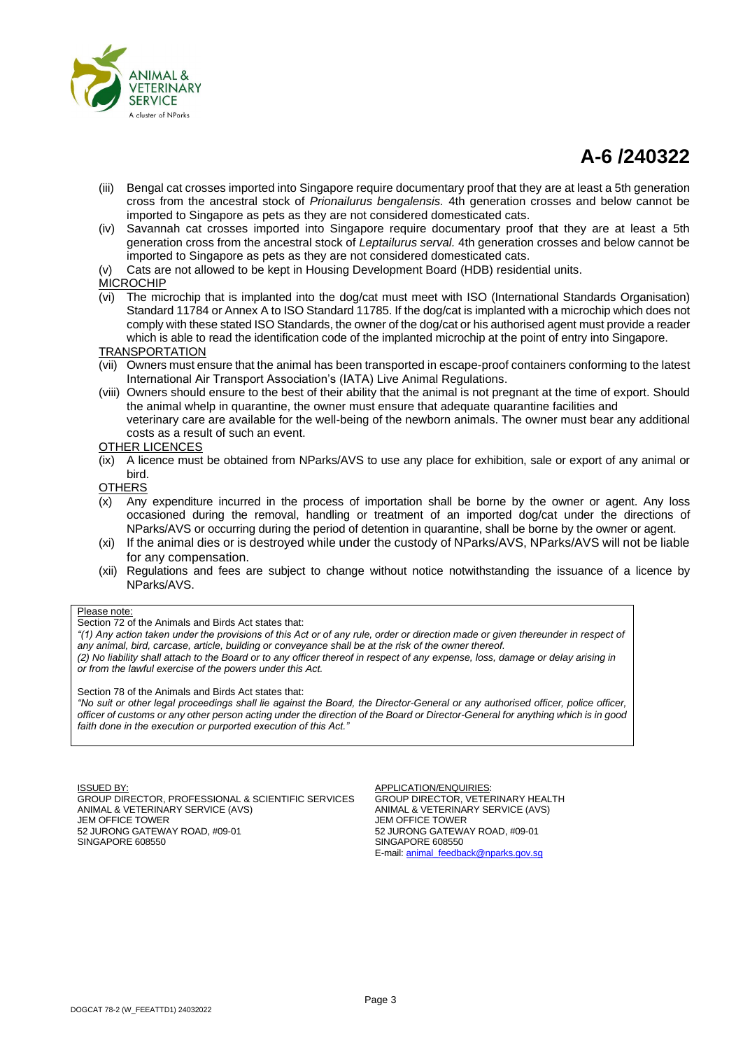

# **A-6 /240322**

- (iii) Bengal cat crosses imported into Singapore require documentary proof that they are at least a 5th generation cross from the ancestral stock of *Prionailurus bengalensis.* 4th generation crosses and below cannot be imported to Singapore as pets as they are not considered domesticated cats.
- (iv) Savannah cat crosses imported into Singapore require documentary proof that they are at least a 5th generation cross from the ancestral stock of *Leptailurus serval.* 4th generation crosses and below cannot be imported to Singapore as pets as they are not considered domesticated cats.
- (v) Cats are not allowed to be kept in Housing Development Board (HDB) residential units.

#### **MICROCHIP**

(vi) The microchip that is implanted into the dog/cat must meet with ISO (International Standards Organisation) Standard 11784 or Annex A to ISO Standard 11785. If the dog/cat is implanted with a microchip which does not comply with these stated ISO Standards, the owner of the dog/cat or his authorised agent must provide a reader which is able to read the identification code of the implanted microchip at the point of entry into Singapore.

# **TRANSPORTATION**

- (vii) Owners must ensure that the animal has been transported in escape-proof containers conforming to the latest International Air Transport Association's (IATA) Live Animal Regulations.
- (viii) Owners should ensure to the best of their ability that the animal is not pregnant at the time of export. Should the animal whelp in quarantine, the owner must ensure that adequate quarantine facilities and veterinary care are available for the well-being of the newborn animals. The owner must bear any additional costs as a result of such an event.

#### OTHER LICENCES

(ix) A licence must be obtained from NParks/AVS to use any place for exhibition, sale or export of any animal or bird.

**OTHERS** 

- $\overline{(x)}$  Any expenditure incurred in the process of importation shall be borne by the owner or agent. Any loss occasioned during the removal, handling or treatment of an imported dog/cat under the directions of NParks/AVS or occurring during the period of detention in quarantine, shall be borne by the owner or agent.
- (xi) If the animal dies or is destroyed while under the custody of NParks/AVS, NParks/AVS will not be liable for any compensation.
- (xii) Regulations and fees are subject to change without notice notwithstanding the issuance of a licence by NParks/AVS.

#### Please note:

#### Section 72 of the Animals and Birds Act states that:

*"(1) Any action taken under the provisions of this Act or of any rule, order or direction made or given thereunder in respect of any animal, bird, carcase, article, building or conveyance shall be at the risk of the owner thereof. (2) No liability shall attach to the Board or to any officer thereof in respect of any expense, loss, damage or delay arising in or from the lawful exercise of the powers under this Act.*

Section 78 of the Animals and Birds Act states that:

*"No suit or other legal proceedings shall lie against the Board, the Director-General or any authorised officer, police officer, officer of customs or any other person acting under the direction of the Board or Director-General for anything which is in good faith done in the execution or purported execution of this Act."*

**ISSUED BY** 

GROUP DIRECTOR, PROFESSIONAL & SCIENTIFIC SERVICES ANIMAL & VETERINARY SERVICE (AVS) JEM OFFICE TOWER 52 JURONG GATEWAY ROAD, #09-01 SINGAPORE 608550

APPLICATION/ENQUIRIES: GROUP DIRECTOR, VETERINARY HEALTH ANIMAL & VETERINARY SERVICE (AVS) JEM OFFICE TOWER 52 JURONG GATEWAY ROAD, #09-01 SINGAPORE 608550 E-mail[: animal\\_feedback@nparks.gov.sg](mailto:animal_feedback@nparks.gov.sg)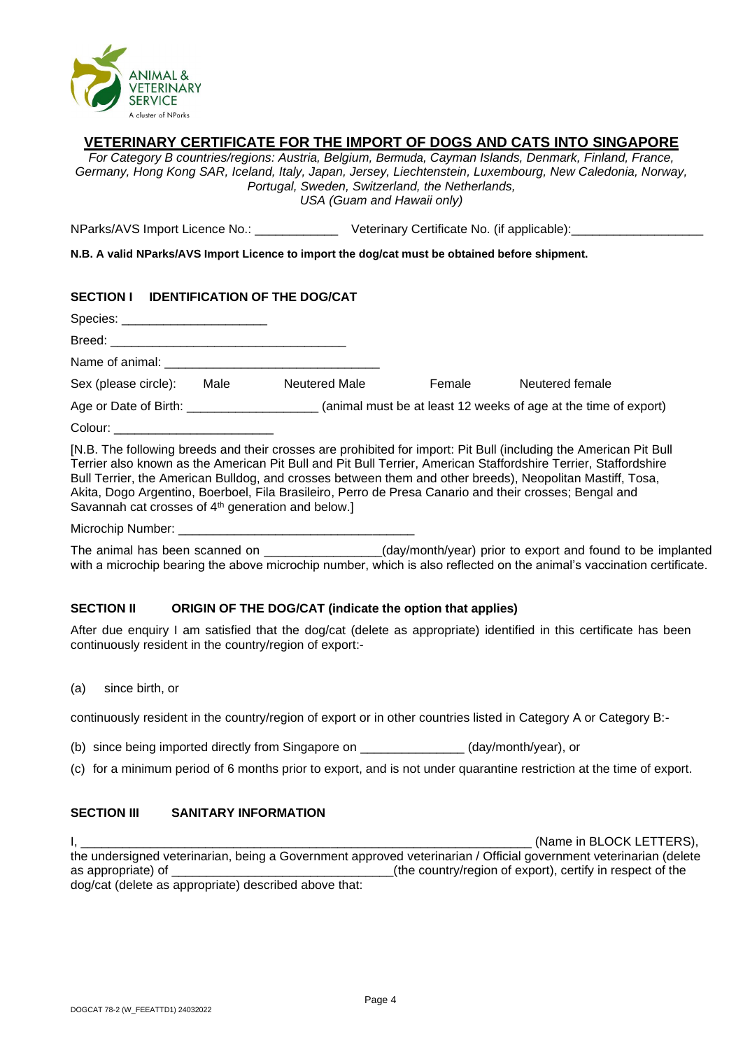

# **VETERINARY CERTIFICATE FOR THE IMPORT OF DOGS AND CATS INTO SINGAPORE**

*For Category B countries/regions: Austria, Belgium, Bermuda, Cayman Islands, Denmark, Finland, France, Germany, Hong Kong SAR, Iceland, Italy, Japan, Jersey, Liechtenstein, Luxembourg, New Caledonia, Norway, Portugal, Sweden, Switzerland, the Netherlands, USA (Guam and Hawaii only)*

NParks/AVS Import Licence No.: \_\_\_\_\_\_\_\_\_\_\_\_\_\_\_\_\_\_\_\_\_\_\_ Veterinary Certificate No. (if applicable):\_\_\_\_\_\_\_\_

**N.B. A valid NParks/AVS Import Licence to import the dog/cat must be obtained before shipment.**

| SECTION I IDENTIFICATION OF THE DOG/CAT |      |               |        |                                                                                                                   |
|-----------------------------------------|------|---------------|--------|-------------------------------------------------------------------------------------------------------------------|
| Species: _________________________      |      |               |        |                                                                                                                   |
|                                         |      |               |        |                                                                                                                   |
|                                         |      |               |        |                                                                                                                   |
| Sex (please circle):                    | Male | Neutered Male | Female | Neutered female                                                                                                   |
|                                         |      |               |        |                                                                                                                   |
| Colour: ______________________________  |      |               |        |                                                                                                                   |
|                                         |      |               |        | [N.B. The following breeds and their crosses are prohibited for import: Pit Bull (including the American Pit Bull |

Terrier also known as the American Pit Bull and Pit Bull Terrier, American Staffordshire Terrier, Staffordshire Bull Terrier, the American Bulldog, and crosses between them and other breeds), Neopolitan Mastiff, Tosa, Akita, Dogo Argentino, Boerboel, Fila Brasileiro, Perro de Presa Canario and their crosses; Bengal and Savannah cat crosses of 4<sup>th</sup> generation and below.]

Microchip Number:

The animal has been scanned on \_\_\_\_\_\_\_\_\_\_\_\_\_\_\_\_\_(day/month/year) prior to export and found to be implanted with a microchip bearing the above microchip number, which is also reflected on the animal's vaccination certificate.

# **SECTION II ORIGIN OF THE DOG/CAT (indicate the option that applies)**

After due enquiry I am satisfied that the dog/cat (delete as appropriate) identified in this certificate has been continuously resident in the country/region of export:-

(a) since birth, or

continuously resident in the country/region of export or in other countries listed in Category A or Category B:-

(b) since being imported directly from Singapore on  $\qquad \qquad$  (day/month/year), or

(c) for a minimum period of 6 months prior to export, and is not under quarantine restriction at the time of export.

# **SECTION III SANITARY INFORMATION**

I, The contract of the contract of the contract of the contract of the contract of the contract of the contract of the contract of the contract of the contract of the contract of the contract of the contract of the contrac the undersigned veterinarian, being a Government approved veterinarian / Official government veterinarian (delete as appropriate) of  $\Box$ dog/cat (delete as appropriate) described above that: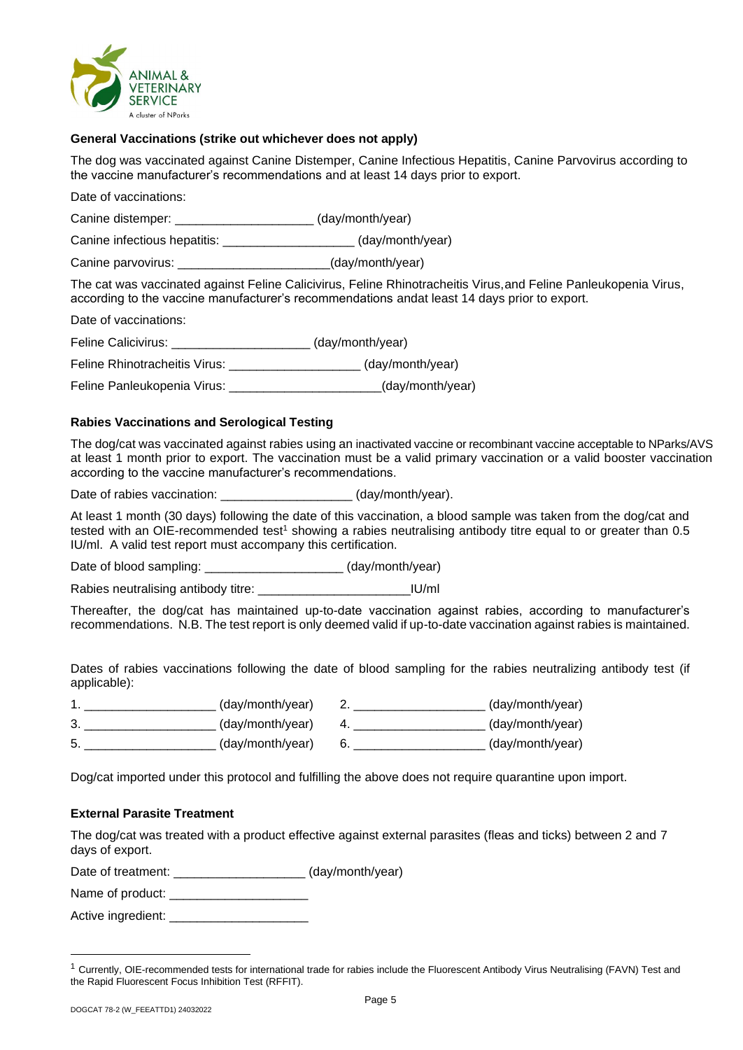

# **General Vaccinations (strike out whichever does not apply)**

The dog was vaccinated against Canine Distemper, Canine Infectious Hepatitis, Canine Parvovirus according to the vaccine manufacturer's recommendations and at least 14 days prior to export.

Date of vaccinations:

Canine distemper: \_\_\_\_\_\_\_\_\_\_\_\_\_\_\_\_\_\_\_\_ (day/month/year)

Canine infectious hepatitis: \_\_\_\_\_\_\_\_\_\_\_\_\_\_\_\_\_\_\_ (day/month/year)

Canine parvovirus: \_\_\_\_\_\_\_\_\_\_\_\_\_\_\_\_\_\_\_\_\_\_(day/month/year)

The cat was vaccinated against Feline Calicivirus, Feline Rhinotracheitis Virus,and Feline Panleukopenia Virus, according to the vaccine manufacturer's recommendations andat least 14 days prior to export.

Date of vaccinations:

Feline Calicivirus: \_\_\_\_\_\_\_\_\_\_\_\_\_\_\_\_\_\_\_\_ (day/month/year)

Feline Rhinotracheitis Virus: \_\_\_\_\_\_\_\_\_\_\_\_\_\_\_\_\_\_\_ (day/month/year)

Feline Panleukopenia Virus: <br> (day/month/year)

# **Rabies Vaccinations and Serological Testing**

The dog/cat was vaccinated against rabies using an inactivated vaccine or recombinant vaccine acceptable to NParks/AVS at least 1 month prior to export. The vaccination must be a valid primary vaccination or a valid booster vaccination according to the vaccine manufacturer's recommendations.

Date of rabies vaccination: \_\_\_\_\_\_\_\_\_\_\_\_\_\_\_\_\_\_\_\_\_\_\_ (day/month/year).

At least 1 month (30 days) following the date of this vaccination, a blood sample was taken from the dog/cat and tested with an OIE-recommended test<sup>1</sup> showing a rabies neutralising antibody titre equal to or greater than 0.5 IU/ml. A valid test report must accompany this certification.

Date of blood sampling: \_\_\_\_\_\_\_\_\_\_\_\_\_\_\_\_\_\_\_\_\_\_\_ (day/month/year)

Rabies neutralising antibody titre: \_\_\_\_\_\_\_\_\_\_\_\_\_\_\_\_\_\_\_\_\_\_\_\_\_\_\_\_\_\_\_\_IU/ml

Thereafter, the dog/cat has maintained up-to-date vaccination against rabies, according to manufacturer's recommendations. N.B. The test report is only deemed valid if up-to-date vaccination against rabies is maintained.

Dates of rabies vaccinations following the date of blood sampling for the rabies neutralizing antibody test (if applicable):

|   | (day/month/year) | (day/month/year) |
|---|------------------|------------------|
| پ | (day/month/year) | (day/month/year) |
| 5 | (day/month/year) | (day/month/year) |

Dog/cat imported under this protocol and fulfilling the above does not require quarantine upon import.

# **External Parasite Treatment**

The dog/cat was treated with a product effective against external parasites (fleas and ticks) between 2 and 7 days of export.

Date of treatment: \_\_\_\_\_\_\_\_\_\_\_\_\_\_\_\_\_\_\_ (day/month/year)

Name of product:

Active ingredient: \_\_\_\_\_\_\_\_\_\_\_\_\_\_\_\_\_\_\_\_

<sup>&</sup>lt;sup>1</sup> Currently, OIE-recommended tests for international trade for rabies include the Fluorescent Antibody Virus Neutralising (FAVN) Test and the Rapid Fluorescent Focus Inhibition Test (RFFIT).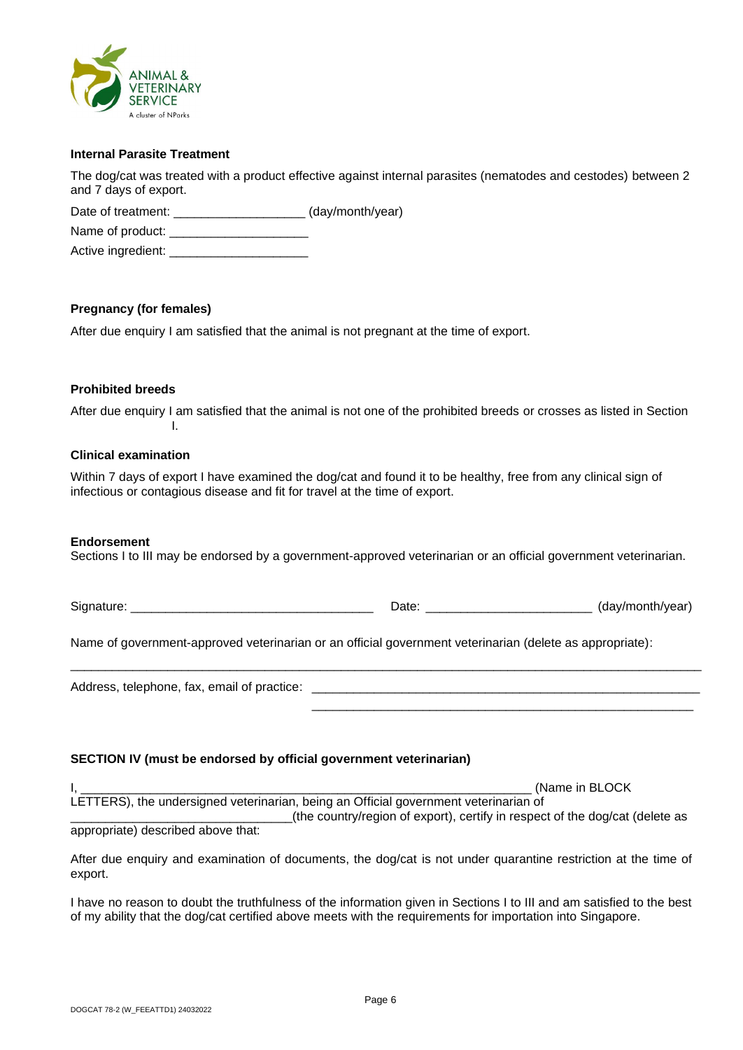

# **Internal Parasite Treatment**

The dog/cat was treated with a product effective against internal parasites (nematodes and cestodes) between 2 and 7 days of export.

Date of treatment: \_\_\_\_\_\_\_\_\_\_\_\_\_\_\_\_\_\_\_\_\_\_ (day/month/year)

Name of product: \_\_\_\_\_\_\_\_\_\_\_\_\_\_\_\_\_\_\_\_

Active ingredient: \_\_\_\_\_\_\_\_\_\_\_\_\_\_\_\_\_\_\_\_

# **Pregnancy (for females)**

After due enquiry I am satisfied that the animal is not pregnant at the time of export.

# **Prohibited breeds**

After due enquiry I am satisfied that the animal is not one of the prohibited breeds or crosses as listed in Section I.

# **Clinical examination**

Within 7 days of export I have examined the dog/cat and found it to be healthy, free from any clinical sign of infectious or contagious disease and fit for travel at the time of export.

# **Endorsement**

Sections I to III may be endorsed by a government-approved veterinarian or an official government veterinarian.

Signature: \_\_\_\_\_\_\_\_\_\_\_\_\_\_\_\_\_\_\_\_\_\_\_\_\_\_\_\_\_\_\_\_\_\_\_ Date: \_\_\_\_\_\_\_\_\_\_\_\_\_\_\_\_\_\_\_\_\_\_\_\_ (day/month/year)

Name of government-approved veterinarian or an official government veterinarian (delete as appropriate):

\_\_\_\_\_\_\_\_\_\_\_\_\_\_\_\_\_\_\_\_\_\_\_\_\_\_\_\_\_\_\_\_\_\_\_\_\_\_\_\_\_\_\_\_\_\_\_\_\_\_\_\_\_\_\_\_\_\_\_\_\_\_\_\_\_\_\_\_\_\_\_\_\_\_\_\_\_\_\_\_\_\_\_\_\_\_\_\_\_\_\_ Address, telephone, fax, email of practice: \_ \_\_\_\_\_\_\_\_\_\_\_\_\_\_\_\_\_\_\_\_\_\_\_\_\_\_\_\_\_\_\_\_\_\_\_\_\_\_\_\_\_\_\_\_\_\_\_\_\_\_\_\_\_\_\_

# **SECTION IV (must be endorsed by official government veterinarian)**

(Name in BLOCK LETTERS), the undersigned veterinarian, being an Official government veterinarian of \_\_\_\_\_\_\_\_\_\_\_\_\_\_\_\_\_\_\_\_\_\_\_\_\_\_\_\_\_\_\_\_(the country/region of export), certify in respect of the dog/cat (delete as

appropriate) described above that:

After due enquiry and examination of documents, the dog/cat is not under quarantine restriction at the time of export.

I have no reason to doubt the truthfulness of the information given in Sections I to III and am satisfied to the best of my ability that the dog/cat certified above meets with the requirements for importation into Singapore.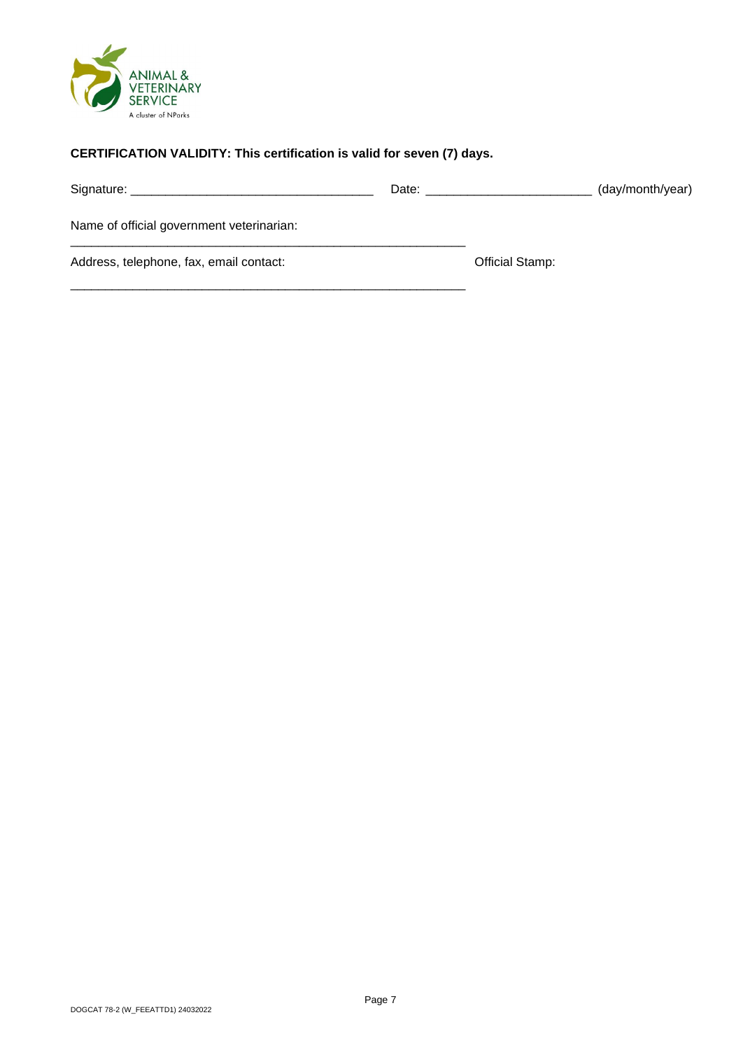

# **CERTIFICATION VALIDITY: This certification is valid for seven (7) days.**

\_\_\_\_\_\_\_\_\_\_\_\_\_\_\_\_\_\_\_\_\_\_\_\_\_\_\_\_\_\_\_\_\_\_\_\_\_\_\_\_\_\_\_\_\_\_\_\_\_\_\_\_\_\_\_\_\_

|                                           | Date: |                        | (day/month/year) |
|-------------------------------------------|-------|------------------------|------------------|
| Name of official government veterinarian: |       |                        |                  |
| Address, telephone, fax, email contact:   |       | <b>Official Stamp:</b> |                  |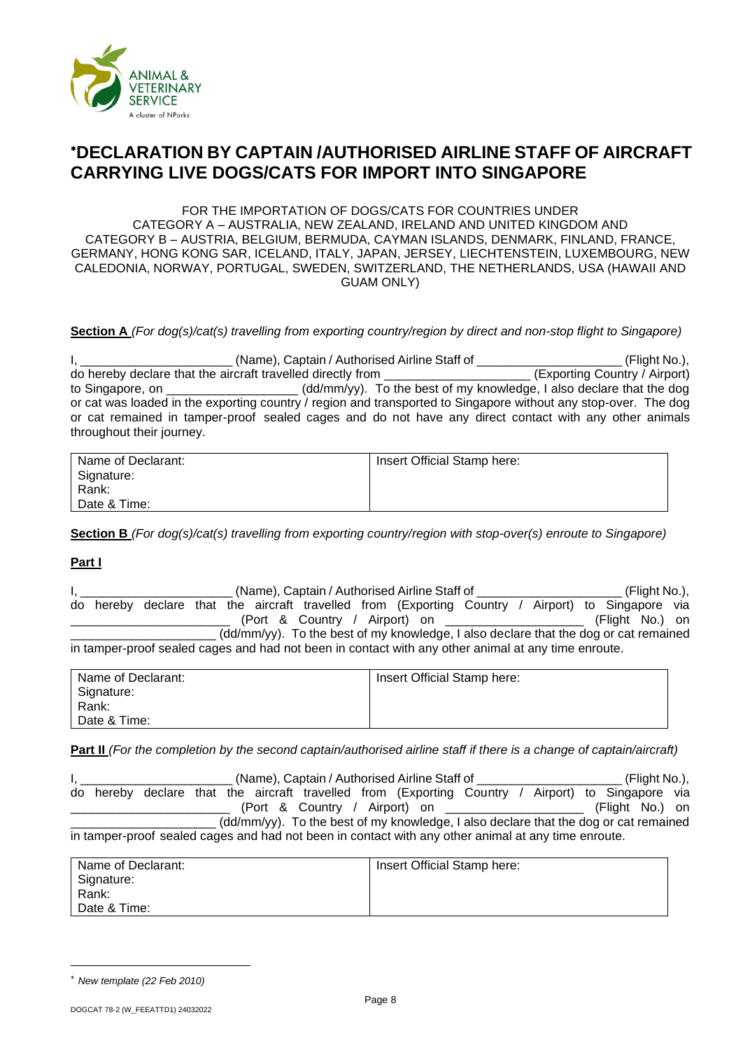

# **DECLARATION BY CAPTAIN /AUTHORISED AIRLINE STAFF OF AIRCRAFT CARRYING LIVE DOGS/CATS FOR IMPORT INTO SINGAPORE**

FOR THE IMPORTATION OF DOGS/CATS FOR COUNTRIES UNDER CATEGORY A – AUSTRALIA, NEW ZEALAND, IRELAND AND UNITED KINGDOM AND CATEGORY B – AUSTRIA, BELGIUM, BERMUDA, CAYMAN ISLANDS, DENMARK, FINLAND, FRANCE, GERMANY, HONG KONG SAR, ICELAND, ITALY, JAPAN, JERSEY, LIECHTENSTEIN, LUXEMBOURG, NEW CALEDONIA, NORWAY, PORTUGAL, SWEDEN, SWITZERLAND, THE NETHERLANDS, USA (HAWAII AND GUAM ONLY)

**Section A** *(For dog(s)/cat(s) travelling from exporting country/region by direct and non-stop flight to Singapore)*

|                                                                                                                 | (Name), Captain / Authorised Airline Staff of                        | (Flight No.),                 |
|-----------------------------------------------------------------------------------------------------------------|----------------------------------------------------------------------|-------------------------------|
| do hereby declare that the aircraft travelled directly from                                                     |                                                                      | (Exporting Country / Airport) |
| to Singapore, on ____________________                                                                           | (dd/mm/yy). To the best of my knowledge, I also declare that the dog |                               |
| or cat was loaded in the exporting country / region and transported to Singapore without any stop-over. The dog |                                                                      |                               |
| or cat remained in tamper-proof sealed cages and do not have any direct contact with any other animals          |                                                                      |                               |
| throughout their journey.                                                                                       |                                                                      |                               |

| Name of Declarant: | Insert Official Stamp here: |
|--------------------|-----------------------------|
| Signature:         |                             |
| Rank:              |                             |
| Date & Time:       |                             |

**Section B** *(For dog(s)/cat(s) travelling from exporting country/region with stop-over(s) enroute to Singapore)*

# **Part I**

|                                                                                      | (Name), Captain / Authorised Airline Staff of |  |  |  |  |  |  |                                                                                                     | (Flight No.), |                           |                 |  |  |
|--------------------------------------------------------------------------------------|-----------------------------------------------|--|--|--|--|--|--|-----------------------------------------------------------------------------------------------------|---------------|---------------------------|-----------------|--|--|
|                                                                                      |                                               |  |  |  |  |  |  | do hereby declare that the aircraft travelled from (Exporting Country /                             |               | Airport) to Singapore via |                 |  |  |
|                                                                                      |                                               |  |  |  |  |  |  | (Port & Country / Airport) on __________________                                                    |               |                           | (Flight No.) on |  |  |
| (dd/mm/yy). To the best of my knowledge, I also declare that the dog or cat remained |                                               |  |  |  |  |  |  |                                                                                                     |               |                           |                 |  |  |
|                                                                                      |                                               |  |  |  |  |  |  | in tamper-proof sealed cages and had not been in contact with any other animal at any time enroute. |               |                           |                 |  |  |

| Name of Declarant: | Insert Official Stamp here: |
|--------------------|-----------------------------|
| Signature:         |                             |
| Rank:              |                             |
| Date & Time:       |                             |

**Part II** *(For the completion by the second captain/authorised airline staff if there is a change of captain/aircraft)*

|                                                                                      | (Name), Captain / Authorised Airline Staff of |  |  |  |  | (Flight No.), |                                                                                                     |  |  |                           |  |
|--------------------------------------------------------------------------------------|-----------------------------------------------|--|--|--|--|---------------|-----------------------------------------------------------------------------------------------------|--|--|---------------------------|--|
|                                                                                      |                                               |  |  |  |  |               | do hereby declare that the aircraft travelled from (Exporting Country /                             |  |  | Airport) to Singapore via |  |
|                                                                                      |                                               |  |  |  |  |               | (Port & Country / Airport) on ________________                                                      |  |  | (Flight No.) on           |  |
| (dd/mm/yy). To the best of my knowledge, I also declare that the dog or cat remained |                                               |  |  |  |  |               |                                                                                                     |  |  |                           |  |
|                                                                                      |                                               |  |  |  |  |               | in tamper-proof sealed cages and had not been in contact with any other animal at any time enroute. |  |  |                           |  |

| Name of Declarant: | Insert Official Stamp here: |
|--------------------|-----------------------------|
| Signature:         |                             |
| Rank:              |                             |
| Date & Time:       |                             |

*New template (22 Feb 2010)*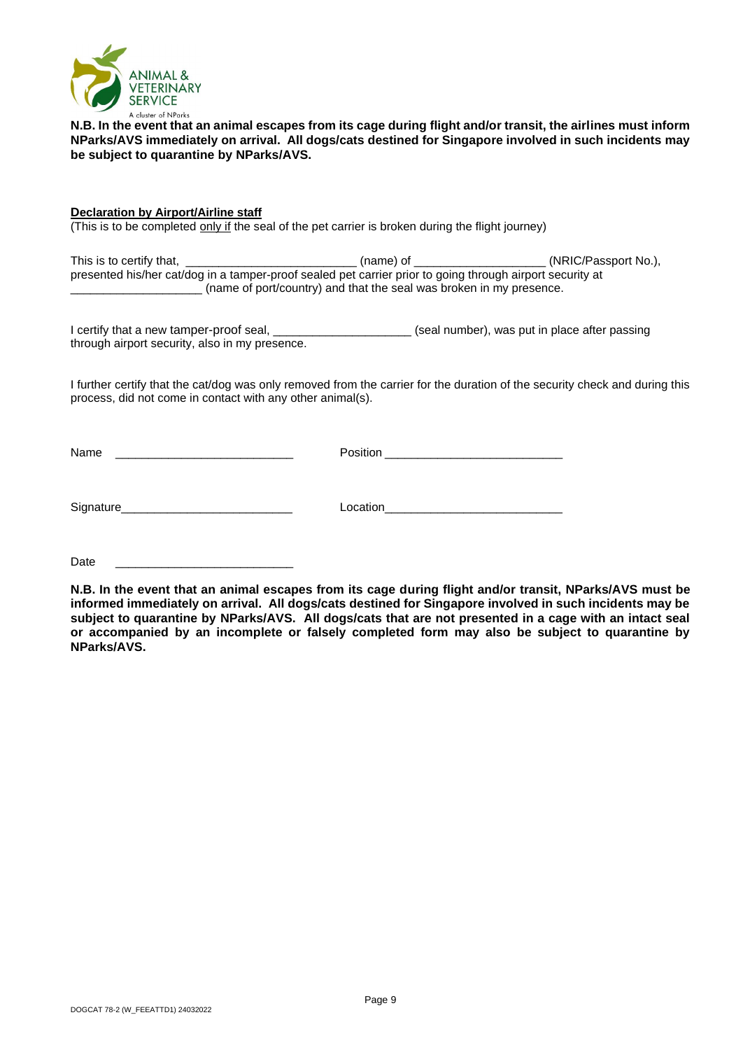

**N.B. In the event that an animal escapes from its cage during flight and/or transit, the airlines must inform NParks/AVS immediately on arrival. All dogs/cats destined for Singapore involved in such incidents may be subject to quarantine by NParks/AVS.**

**Declaration by Airport/Airline staff** (This is to be completed only if the seal of the pet carrier is broken during the flight journey)

This is to certify that, \_\_\_\_\_\_\_\_\_\_\_\_\_\_\_\_\_\_\_\_\_\_\_\_\_\_\_\_\_\_\_\_\_(name) of \_\_\_\_\_\_\_\_\_\_\_\_\_\_\_\_\_\_\_\_\_(NRIC/Passport No.), presented his/her cat/dog in a tamper-proof sealed pet carrier prior to going through airport security at \_\_\_\_\_\_\_\_\_\_\_\_\_\_\_\_\_\_\_\_ (name of port/country) and that the seal was broken in my presence.

I certify that a new tamper-proof seal, \_\_\_\_\_\_\_\_\_\_\_\_\_\_\_\_\_\_\_\_\_\_\_\_(seal number), was put in place after passing through airport security, also in my presence.

I further certify that the cat/dog was only removed from the carrier for the duration of the security check and during this process, did not come in contact with any other animal(s).

Name \_\_\_\_\_\_\_\_\_\_\_\_\_\_\_\_\_\_\_\_\_\_\_\_\_\_\_ Position \_\_\_\_\_\_\_\_\_\_\_\_\_\_\_\_\_\_\_\_\_\_\_\_\_\_\_

Signature **Solution** Location

Date \_\_\_\_\_\_\_\_\_\_\_\_\_\_\_\_\_\_\_\_\_\_\_\_\_\_\_

**N.B. In the event that an animal escapes from its cage during flight and/or transit, NParks/AVS must be informed immediately on arrival. All dogs/cats destined for Singapore involved in such incidents may be subject to quarantine by NParks/AVS. All dogs/cats that are not presented in a cage with an intact seal or accompanied by an incomplete or falsely completed form may also be subject to quarantine by NParks/AVS.**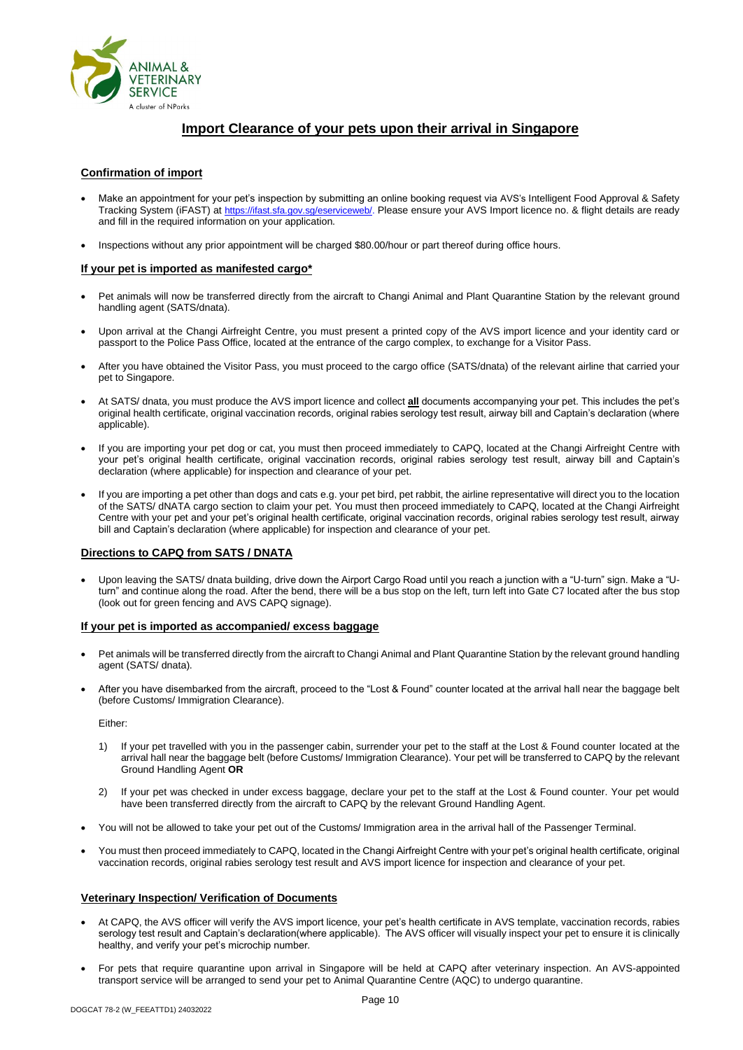

# **Import Clearance of your pets upon their arrival in Singapore**

#### **Confirmation of import**

- Make an appointment for your pet's inspection by submitting an online booking request via AVS's Intelligent Food Approval & Safety Tracking System (iFAST) at [https://ifast.sfa.gov.sg/eserviceweb/.](https://ifast.sfa.gov.sg/eserviceweb/) Please ensure your AVS Import licence no. & flight details are ready and fill in the required information on your application.
- Inspections without any prior appointment will be charged \$80.00/hour or part thereof during office hours.

#### **If your pet is imported as manifested cargo\***

- Pet animals will now be transferred directly from the aircraft to Changi Animal and Plant Quarantine Station by the relevant ground handling agent (SATS/dnata).
- Upon arrival at the Changi Airfreight Centre, you must present a printed copy of the AVS import licence and your identity card or passport to the Police Pass Office, located at the entrance of the cargo complex, to exchange for a Visitor Pass.
- After you have obtained the Visitor Pass, you must proceed to the cargo office (SATS/dnata) of the relevant airline that carried your pet to Singapore.
- At SATS/ dnata, you must produce the AVS import licence and collect **all** documents accompanying your pet. This includes the pet's original health certificate, original vaccination records, original rabies serology test result, airway bill and Captain's declaration (where applicable).
- If you are importing your pet dog or cat, you must then proceed immediately to CAPQ, located at the Changi Airfreight Centre with your pet's original health certificate, original vaccination records, original rabies serology test result, airway bill and Captain's declaration (where applicable) for inspection and clearance of your pet.
- If you are importing a pet other than dogs and cats e.g. your pet bird, pet rabbit, the airline representative will direct you to the location of the SATS/ dNATA cargo section to claim your pet. You must then proceed immediately to CAPQ, located at the Changi Airfreight Centre with your pet and your pet's original health certificate, original vaccination records, original rabies serology test result, airway bill and Captain's declaration (where applicable) for inspection and clearance of your pet.

#### **Directions to CAPQ from SATS / DNATA**

• Upon leaving the SATS/ dnata building, drive down the Airport Cargo Road until you reach a junction with a "U-turn" sign. Make a "Uturn" and continue along the road. After the bend, there will be a bus stop on the left, turn left into Gate C7 located after the bus stop (look out for green fencing and AVS CAPQ signage).

#### **If your pet is imported as accompanied/ excess baggage**

- Pet animals will be transferred directly from the aircraft to Changi Animal and Plant Quarantine Station by the relevant ground handling agent (SATS/ dnata).
- After you have disembarked from the aircraft, proceed to the "Lost & Found" counter located at the arrival hall near the baggage belt (before Customs/ Immigration Clearance).

Either:

- 1) If your pet travelled with you in the passenger cabin, surrender your pet to the staff at the Lost & Found counter located at the arrival hall near the baggage belt (before Customs/ Immigration Clearance). Your pet will be transferred to CAPQ by the relevant Ground Handling Agent **OR**
- 2) If your pet was checked in under excess baggage, declare your pet to the staff at the Lost & Found counter. Your pet would have been transferred directly from the aircraft to CAPQ by the relevant Ground Handling Agent.
- You will not be allowed to take your pet out of the Customs/ Immigration area in the arrival hall of the Passenger Terminal.
- You must then proceed immediately to CAPQ, located in the Changi Airfreight Centre with your pet's original health certificate, original vaccination records, original rabies serology test result and AVS import licence for inspection and clearance of your pet.

#### **Veterinary Inspection/ Verification of Documents**

- At CAPQ, the AVS officer will verify the AVS import licence, your pet's health certificate in AVS template, vaccination records, rabies serology test result and Captain's declaration(where applicable). The AVS officer will visually inspect your pet to ensure it is clinically healthy, and verify your pet's microchip number.
- For pets that require quarantine upon arrival in Singapore will be held at CAPQ after veterinary inspection. An AVS-appointed transport service will be arranged to send your pet to Animal Quarantine Centre (AQC) to undergo quarantine.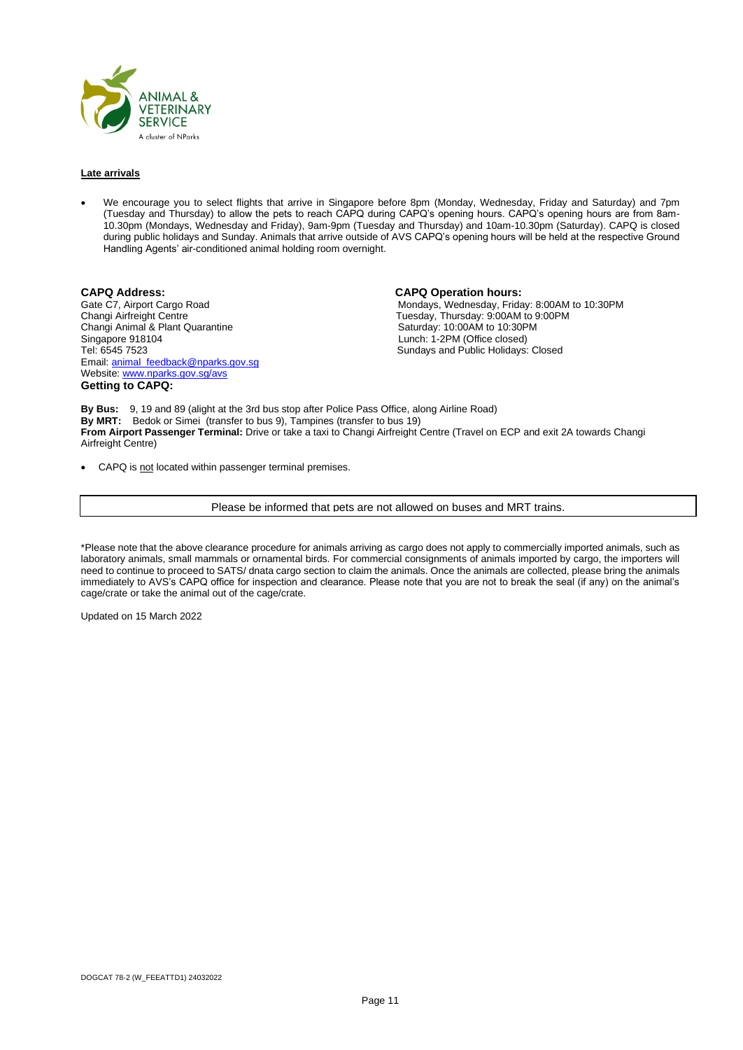

#### **Late arrivals**

• We encourage you to select flights that arrive in Singapore before 8pm (Monday, Wednesday, Friday and Saturday) and 7pm (Tuesday and Thursday) to allow the pets to reach CAPQ during CAPQ's opening hours. CAPQ's opening hours are from 8am-10.30pm (Mondays, Wednesday and Friday), 9am-9pm (Tuesday and Thursday) and 10am-10.30pm (Saturday). CAPQ is closed during public holidays and Sunday. Animals that arrive outside of AVS CAPQ's opening hours will be held at the respective Ground Handling Agents' air-conditioned animal holding room overnight.

**CAPQ Address: CAPQ Operation hours:** Changi Airfreight Centre Tuesday, Thursday: 9:00AM to 9:00PM Changi Animal & Plant Quarantine Saturday: 10:00AM to 10:30PM<br>Singapore 918104 Saturday: 1-2PM (Office closed) Singapore 918104 Lunch: 1-2PM (Office closed) Email[: animal\\_feedback@nparks.gov.sg](mailto:animal_feedback@nparks.gov.sg) Website[: www.nparks.gov.sg/avs](http://www.nparks.gov.sg/avs) **Getting to CAPQ:**

Gate C7, Airport Cargo Road **Mondays, Wednesday, Friday: 8:00AM to 10:30PM**<br>Changi Airfreight Centre **Monday: 8:00AM to 9:00PM** Sundays and Public Holidays: Closed

**By Bus:** 9, 19 and 89 (alight at the 3rd bus stop after Police Pass Office, along Airline Road) **By MRT:** Bedok or Simei (transfer to bus 9), Tampines (transfer to bus 19) **From Airport Passenger Terminal:** Drive or take a taxi to Changi Airfreight Centre (Travel on ECP and exit 2A towards Changi Airfreight Centre)

• CAPQ is not located within passenger terminal premises.

Please be informed that pets are not allowed on buses and MRT trains.

\*Please note that the above clearance procedure for animals arriving as cargo does not apply to commercially imported animals, such as laboratory animals, small mammals or ornamental birds. For commercial consignments of animals imported by cargo, the importers will need to continue to proceed to SATS/ dnata cargo section to claim the animals. Once the animals are collected, please bring the animals immediately to AVS's CAPQ office for inspection and clearance. Please note that you are not to break the seal (if any) on the animal's cage/crate or take the animal out of the cage/crate.

Updated on 15 March 2022